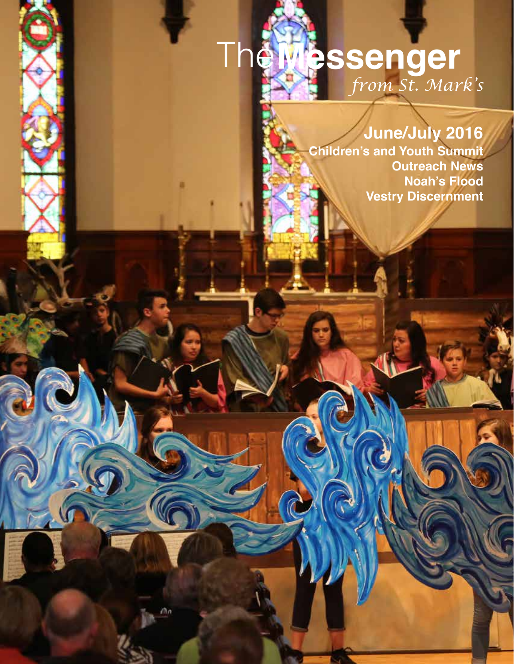# *from St. Mark's* The**Messenger**

1

r٦

# **June/July 2016**

**Children's and Youth Summit Outreach News Noah's Flood Vestry Discernment**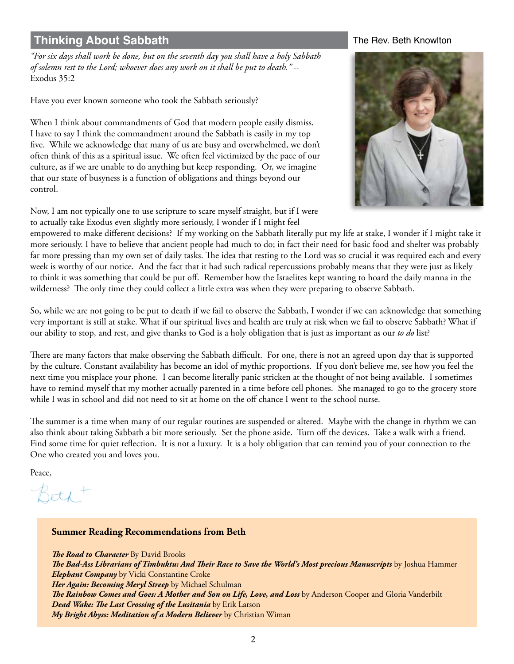# **Thinking About Sabbath** Thinking About Sabbath The Rev. Beth Knowlton

*"For six days shall work be done, but on the seventh day you shall have a holy Sabbath of solemn rest to the Lord; whoever does any work on it shall be put to death."* -- Exodus 35:2

Have you ever known someone who took the Sabbath seriously?

When I think about commandments of God that modern people easily dismiss, I have to say I think the commandment around the Sabbath is easily in my top five. While we acknowledge that many of us are busy and overwhelmed, we don't often think of this as a spiritual issue. We often feel victimized by the pace of our culture, as if we are unable to do anything but keep responding. Or, we imagine that our state of busyness is a function of obligations and things beyond our control.

Now, I am not typically one to use scripture to scare myself straight, but if I were to actually take Exodus even slightly more seriously, I wonder if I might feel



empowered to make different decisions? If my working on the Sabbath literally put my life at stake, I wonder if I might take it more seriously. I have to believe that ancient people had much to do; in fact their need for basic food and shelter was probably far more pressing than my own set of daily tasks. The idea that resting to the Lord was so crucial it was required each and every week is worthy of our notice. And the fact that it had such radical repercussions probably means that they were just as likely to think it was something that could be put off. Remember how the Israelites kept wanting to hoard the daily manna in the wilderness? The only time they could collect a little extra was when they were preparing to observe Sabbath.

So, while we are not going to be put to death if we fail to observe the Sabbath, I wonder if we can acknowledge that something very important is still at stake. What if our spiritual lives and health are truly at risk when we fail to observe Sabbath? What if our ability to stop, and rest, and give thanks to God is a holy obligation that is just as important as our *to do* list?

There are many factors that make observing the Sabbath difficult. For one, there is not an agreed upon day that is supported by the culture. Constant availability has become an idol of mythic proportions. If you don't believe me, see how you feel the next time you misplace your phone. I can become literally panic stricken at the thought of not being available. I sometimes have to remind myself that my mother actually parented in a time before cell phones. She managed to go to the grocery store while I was in school and did not need to sit at home on the off chance I went to the school nurse.

The summer is a time when many of our regular routines are suspended or altered. Maybe with the change in rhythm we can also think about taking Sabbath a bit more seriously. Set the phone aside. Turn off the devices. Take a walk with a friend. Find some time for quiet reflection. It is not a luxury. It is a holy obligation that can remind you of your connection to the One who created you and loves you.

Peace,

Beth<sup>+</sup>

# **Summer Reading Recommendations from Beth** *The Road to Character By David Brooks The Bad-Ass Librarians of Timbuktu: And Their Race to Save the World's Most precious Manuscripts* by Joshua Hammer *Elephant Company* by Vicki Constantine Croke *Her Again: Becoming Meryl Streep* by Michael Schulman *The Rainbow Comes and Goes: A Mother and Son on Life, Love, and Loss* by Anderson Cooper and Gloria Vanderbilt *Dead Wake: The Last Crossing of the Lusitania* by Erik Larson *My Bright Abyss: Meditation of a Modern Believer* by Christian Wiman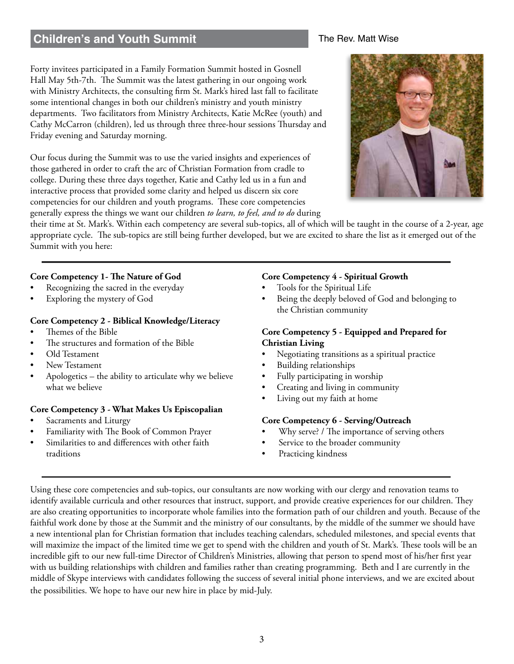# **Children's and Youth Summit**

# Forty invitees participated in a Family Formation Summit hosted in Gosnell Hall May 5th-7th. The Summit was the latest gathering in our ongoing work with Ministry Architects, the consulting firm St. Mark's hired last fall to facilitate some intentional changes in both our children's ministry and youth ministry departments. Two facilitators from Ministry Architects, Katie McRee (youth) and Cathy McCarron (children), led us through three three-hour sessions Thursday and Friday evening and Saturday morning.

Our focus during the Summit was to use the varied insights and experiences of those gathered in order to craft the arc of Christian Formation from cradle to college. During these three days together, Katie and Cathy led us in a fun and interactive process that provided some clarity and helped us discern six core competencies for our children and youth programs. These core competencies generally express the things we want our children *to learn, to feel, and to do* during



The Rev. Matt Wise



their time at St. Mark's. Within each competency are several sub-topics, all of which will be taught in the course of a 2-year, age appropriate cycle. The sub-topics are still being further developed, but we are excited to share the list as it emerged out of the Summit with you here:

# **Core Competency 1- The Nature of God**

- Recognizing the sacred in the everyday
- Exploring the mystery of God

# **Core Competency 2 - Biblical Knowledge/Literacy**

- Themes of the Bible
- The structures and formation of the Bible
- Old Testament
- New Testament
- Apologetics the ability to articulate why we believe what we believe

### **Core Competency 3 - What Makes Us Episcopalian**

- Sacraments and Liturgy
- Familiarity with The Book of Common Prayer
- Similarities to and differences with other faith traditions

# **Core Competency 4 - Spiritual Growth**

- Tools for the Spiritual Life
- Being the deeply beloved of God and belonging to the Christian community

# **Core Competency 5 - Equipped and Prepared for Christian Living**

- Negotiating transitions as a spiritual practice
- Building relationships
- Fully participating in worship
- Creating and living in community
- Living out my faith at home

### **Core Competency 6 - Serving/Outreach**

- Why serve? / The importance of serving others
- Service to the broader community
- Practicing kindness

Using these core competencies and sub-topics, our consultants are now working with our clergy and renovation teams to identify available curricula and other resources that instruct, support, and provide creative experiences for our children. They are also creating opportunities to incorporate whole families into the formation path of our children and youth. Because of the faithful work done by those at the Summit and the ministry of our consultants, by the middle of the summer we should have a new intentional plan for Christian formation that includes teaching calendars, scheduled milestones, and special events that will maximize the impact of the limited time we get to spend with the children and youth of St. Mark's. These tools will be an incredible gift to our new full-time Director of Children's Ministries, allowing that person to spend most of his/her first year with us building relationships with children and families rather than creating programming. Beth and I are currently in the middle of Skype interviews with candidates following the success of several initial phone interviews, and we are excited about the possibilities. We hope to have our new hire in place by mid-July.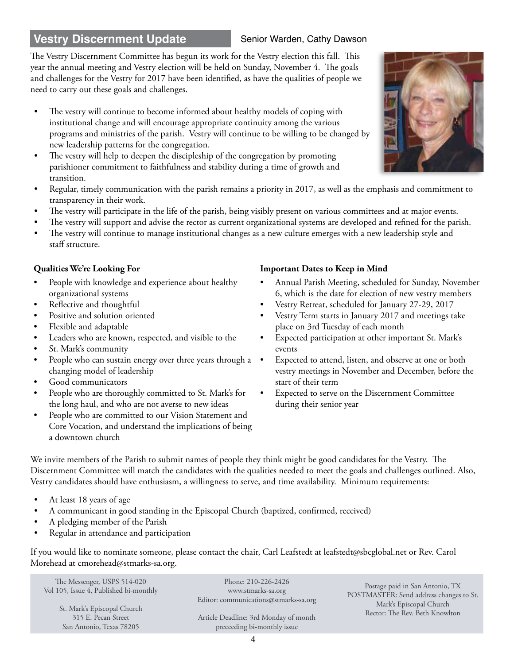# **Vestry Discernment Update Senior Warden, Cathy Dawson**

# The Vestry Discernment Committee has begun its work for the Vestry election this fall. This year the annual meeting and Vestry election will be held on Sunday, November 4. The goals and challenges for the Vestry for 2017 have been identified, as have the qualities of people we need to carry out these goals and challenges.

- The vestry will continue to become informed about healthy models of coping with institutional change and will encourage appropriate continuity among the various programs and ministries of the parish. Vestry will continue to be willing to be changed by new leadership patterns for the congregation.
- The vestry will help to deepen the discipleship of the congregation by promoting parishioner commitment to faithfulness and stability during a time of growth and transition.
- Regular, timely communication with the parish remains a priority in 2017, as well as the emphasis and commitment to transparency in their work.
- The vestry will participate in the life of the parish, being visibly present on various committees and at major events.
- The vestry will support and advise the rector as current organizational systems are developed and refined for the parish.
- The vestry will continue to manage institutional changes as a new culture emerges with a new leadership style and staff structure.

- People with knowledge and experience about healthy organizational systems
- Reflective and thoughtful
- Positive and solution oriented
- Flexible and adaptable
- Leaders who are known, respected, and visible to the
- St. Mark's community
- People who can sustain energy over three years through a changing model of leadership
- Good communicators
- People who are thoroughly committed to St. Mark's for the long haul, and who are not averse to new ideas
- People who are committed to our Vision Statement and Core Vocation, and understand the implications of being a downtown church

# **Qualities We're Looking For Important Dates to Keep in Mind**

- Annual Parish Meeting, scheduled for Sunday, November 6, which is the date for election of new vestry members
- Vestry Retreat, scheduled for January 27-29, 2017
- Vestry Term starts in January 2017 and meetings take place on 3rd Tuesday of each month
- Expected participation at other important St. Mark's events
- Expected to attend, listen, and observe at one or both vestry meetings in November and December, before the start of their term
- Expected to serve on the Discernment Committee during their senior year

We invite members of the Parish to submit names of people they think might be good candidates for the Vestry. The Discernment Committee will match the candidates with the qualities needed to meet the goals and challenges outlined. Also, Vestry candidates should have enthusiasm, a willingness to serve, and time availability. Minimum requirements:

- At least 18 years of age
- A communicant in good standing in the Episcopal Church (baptized, confirmed, received)
- A pledging member of the Parish
- Regular in attendance and participation

If you would like to nominate someone, please contact the chair, Carl Leafstedt at leafstedt@sbcglobal.net or Rev. Carol Morehead at cmorehead@stmarks-sa.org.

The Messenger, USPS 514-020 Vol 105, Issue 4, Published bi-monthly St. Mark's Episcopal Church 315 E. Pecan Street San Antonio, Texas 78205

Phone: 210-226-2426 www.stmarks-sa.org Editor: communications@stmarks-sa.org

Article Deadline: 3rd Monday of month preceeding bi-monthly issue

Postage paid in San Antonio, TX POSTMASTER: Send address changes to St. Mark's Episcopal Church Rector: The Rev. Beth Knowlton

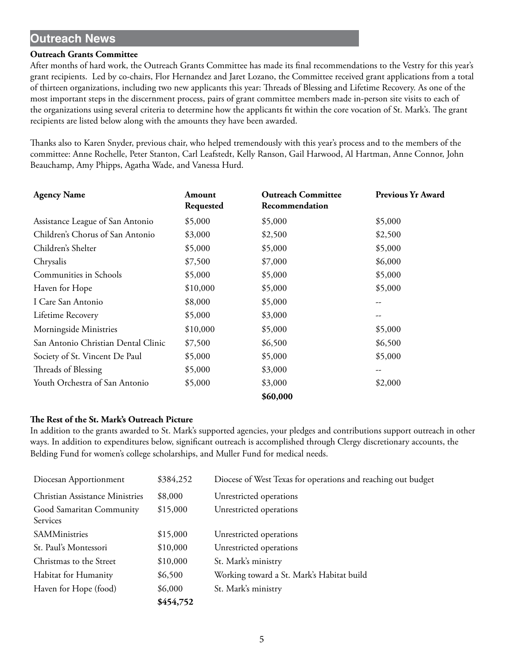# **Outreach News**

### **Outreach Grants Committee**

After months of hard work, the Outreach Grants Committee has made its final recommendations to the Vestry for this year's grant recipients. Led by co-chairs, Flor Hernandez and Jaret Lozano, the Committee received grant applications from a total of thirteen organizations, including two new applicants this year: Threads of Blessing and Lifetime Recovery. As one of the most important steps in the discernment process, pairs of grant committee members made in-person site visits to each of the organizations using several criteria to determine how the applicants fit within the core vocation of St. Mark's. The grant recipients are listed below along with the amounts they have been awarded.

Thanks also to Karen Snyder, previous chair, who helped tremendously with this year's process and to the members of the committee: Anne Rochelle, Peter Stanton, Carl Leafstedt, Kelly Ranson, Gail Harwood, Al Hartman, Anne Connor, John Beauchamp, Amy Phipps, Agatha Wade, and Vanessa Hurd.

| <b>Agency Name</b>                  | Amount<br>Requested | <b>Outreach Committee</b><br>Recommendation | <b>Previous Yr Award</b> |
|-------------------------------------|---------------------|---------------------------------------------|--------------------------|
| Assistance League of San Antonio    | \$5,000             | \$5,000                                     | \$5,000                  |
| Children's Chorus of San Antonio    | \$3,000             | \$2,500                                     | \$2,500                  |
| Children's Shelter                  | \$5,000             | \$5,000                                     | \$5,000                  |
| Chrysalis                           | \$7,500             | \$7,000                                     | \$6,000                  |
| Communities in Schools              | \$5,000             | \$5,000                                     | \$5,000                  |
| Haven for Hope                      | \$10,000            | \$5,000                                     | \$5,000                  |
| I Care San Antonio                  | \$8,000             | \$5,000                                     |                          |
| Lifetime Recovery                   | \$5,000             | \$3,000                                     |                          |
| Morningside Ministries              | \$10,000            | \$5,000                                     | \$5,000                  |
| San Antonio Christian Dental Clinic | \$7,500             | \$6,500                                     | \$6,500                  |
| Society of St. Vincent De Paul      | \$5,000             | \$5,000                                     | \$5,000                  |
| Threads of Blessing                 | \$5,000             | \$3,000                                     | --                       |
| Youth Orchestra of San Antonio      | \$5,000             | \$3,000                                     | \$2,000                  |
|                                     |                     | \$60,000                                    |                          |

### **The Rest of the St. Mark's Outreach Picture**

In addition to the grants awarded to St. Mark's supported agencies, your pledges and contributions support outreach in other ways. In addition to expenditures below, significant outreach is accomplished through Clergy discretionary accounts, the Belding Fund for women's college scholarships, and Muller Fund for medical needs.

|                                        | \$454,752 |                                                              |
|----------------------------------------|-----------|--------------------------------------------------------------|
| Haven for Hope (food)                  | \$6,000   | St. Mark's ministry                                          |
| Habitat for Humanity                   | \$6,500   | Working toward a St. Mark's Habitat build                    |
| Christmas to the Street                | \$10,000  | St. Mark's ministry                                          |
| St. Paul's Montessori                  | \$10,000  | Unrestricted operations                                      |
| SAMMinistries                          | \$15,000  | Unrestricted operations                                      |
| Good Samaritan Community<br>Services   | \$15,000  | Unrestricted operations                                      |
|                                        |           |                                                              |
| <b>Christian Assistance Ministries</b> | \$8,000   | Unrestricted operations                                      |
| Diocesan Apportionment                 | \$384,252 | Diocese of West Texas for operations and reaching out budget |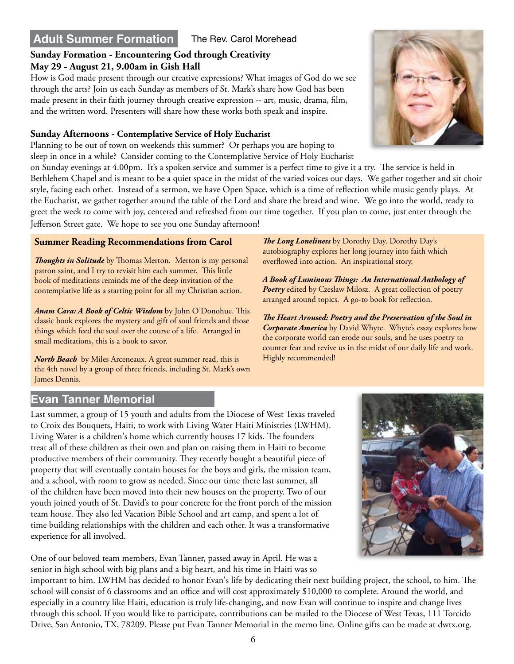# **Adult Summer Formation** The Rev. Carol Morehead

# **Sunday Formation - Encountering God through Creativity May 29 - August 21, 9.00am in Gish Hall**

How is God made present through our creative expressions? What images of God do we see through the arts? Join us each Sunday as members of St. Mark's share how God has been made present in their faith journey through creative expression -- art, music, drama, film, and the written word. Presenters will share how these works both speak and inspire.

# **Sunday Afternoons - Contemplative Service of Holy Eucharist**

Planning to be out of town on weekends this summer? Or perhaps you are hoping to sleep in once in a while? Consider coming to the Contemplative Service of Holy Eucharist

on Sunday evenings at 4.00pm. It's a spoken service and summer is a perfect time to give it a try. The service is held in Bethlehem Chapel and is meant to be a quiet space in the midst of the varied voices our days. We gather together and sit choir style, facing each other. Instead of a sermon, we have Open Space, which is a time of reflection while music gently plays. At the Eucharist, we gather together around the table of the Lord and share the bread and wine. We go into the world, ready to greet the week to come with joy, centered and refreshed from our time together. If you plan to come, just enter through the Jefferson Street gate. We hope to see you one Sunday afternoon!

# **Summer Reading Recommendations from Carol**

*Thoughts in Solitude* by Thomas Merton. Merton is my personal patron saint, and I try to revisit him each summer. This little book of meditations reminds me of the deep invitation of the contemplative life as a starting point for all my Christian action.

*Anam Cara: A Book of Celtic Wisdom* by John O'Donohue. This classic book explores the mystery and gift of soul friends and those things which feed the soul over the course of a life. Arranged in small meditations, this is a book to savor.

*North Beach* by Miles Arceneaux. A great summer read, this is the 4th novel by a group of three friends, including St. Mark's own James Dennis.

*The Long Loneliness* by Dorothy Day. Dorothy Day's autobiography explores her long journey into faith which overflowed into action. An inspirational story.

*A Book of Luminous Things: An International Anthology of Poetry* edited by Czeslaw Milosz. A great collection of poetry arranged around topics. A go-to book for reflection.

*The Heart Aroused: Poetry and the Preservation of the Soul in Corporate America* by David Whyte. Whyte's essay explores how the corporate world can erode our souls, and he uses poetry to counter fear and revive us in the midst of our daily life and work. Highly recommended!

# **Evan Tanner Memorial**

Last summer, a group of 15 youth and adults from the Diocese of West Texas traveled to Croix des Bouquets, Haiti, to work with Living Water Haiti Ministries (LWHM). Living Water is a children's home which currently houses 17 kids. The founders treat all of these children as their own and plan on raising them in Haiti to become productive members of their community. They recently bought a beautiful piece of property that will eventually contain houses for the boys and girls, the mission team, and a school, with room to grow as needed. Since our time there last summer, all of the children have been moved into their new houses on the property. Two of our youth joined youth of St. David's to pour concrete for the front porch of the mission team house. They also led Vacation Bible School and art camp, and spent a lot of time building relationships with the children and each other. It was a transformative experience for all involved.

One of our beloved team members, Evan Tanner, passed away in April. He was a senior in high school with big plans and a big heart, and his time in Haiti was so



important to him. LWHM has decided to honor Evan's life by dedicating their next building project, the school, to him. The school will consist of 6 classrooms and an office and will cost approximately \$10,000 to complete. Around the world, and especially in a country like Haiti, education is truly life-changing, and now Evan will continue to inspire and change lives through this school. If you would like to participate, contributions can be mailed to the Diocese of West Texas, 111 Torcido Drive, San Antonio, TX, 78209. Please put Evan Tanner Memorial in the memo line. Online gifts can be made at dwtx.org.

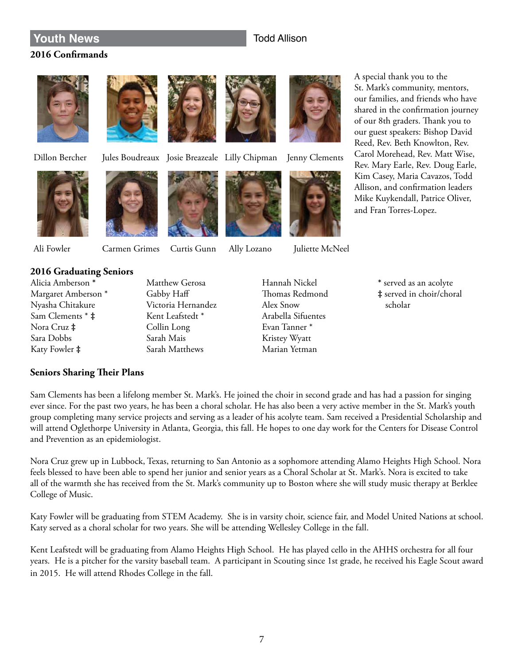# **Touth News** Todd Allison

# **2016 Confirmands**









Dillon Bercher Jules Boudreaux Josie Breazeale Lilly Chipman Jenny Clements





Ali Fowler Carmen Grimes Curtis Gunn Ally Lozano Juliette McNeel

A special thank you to the St. Mark's community, mentors, our families, and friends who have shared in the confirmation journey of our 8th graders. Thank you to our guest speakers: Bishop David Reed, Rev. Beth Knowlton, Rev. Carol Morehead, Rev. Matt Wise, Rev. Mary Earle, Rev. Doug Earle, Kim Casey, Maria Cavazos, Todd Allison, and confirmation leaders Mike Kuykendall, Patrice Oliver, and Fran Torres-Lopez.



# **2016 Graduating Seniors**

- Alicia Amberson **\*** Margaret Amberson \* Nyasha Chitakure Sam Clements \* **‡** Nora Cruz **‡** Sara Dobbs Katy Fowler **‡**
- Matthew Gerosa Gabby Haff Victoria Hernandez Kent Leafstedt \* Collin Long Sarah Mais Sarah Matthews

Hannah Nickel Thomas Redmond Alex Snow Arabella Sifuentes Evan Tanner \* Kristey Wyatt Marian Yetman

**\*** served as an acolyte **‡** served in choir/choral scholar

# **Seniors Sharing Their Plans**

Sam Clements has been a lifelong member St. Mark's. He joined the choir in second grade and has had a passion for singing ever since. For the past two years, he has been a choral scholar. He has also been a very active member in the St. Mark's youth group completing many service projects and serving as a leader of his acolyte team. Sam received a Presidential Scholarship and will attend Oglethorpe University in Atlanta, Georgia, this fall. He hopes to one day work for the Centers for Disease Control and Prevention as an epidemiologist.

Nora Cruz grew up in Lubbock, Texas, returning to San Antonio as a sophomore attending Alamo Heights High School. Nora feels blessed to have been able to spend her junior and senior years as a Choral Scholar at St. Mark's. Nora is excited to take all of the warmth she has received from the St. Mark's community up to Boston where she will study music therapy at Berklee College of Music.

Katy Fowler will be graduating from STEM Academy. She is in varsity choir, science fair, and Model United Nations at school. Katy served as a choral scholar for two years. She will be attending Wellesley College in the fall.

Kent Leafstedt will be graduating from Alamo Heights High School. He has played cello in the AHHS orchestra for all four years. He is a pitcher for the varsity baseball team. A participant in Scouting since 1st grade, he received his Eagle Scout award in 2015. He will attend Rhodes College in the fall.

# 7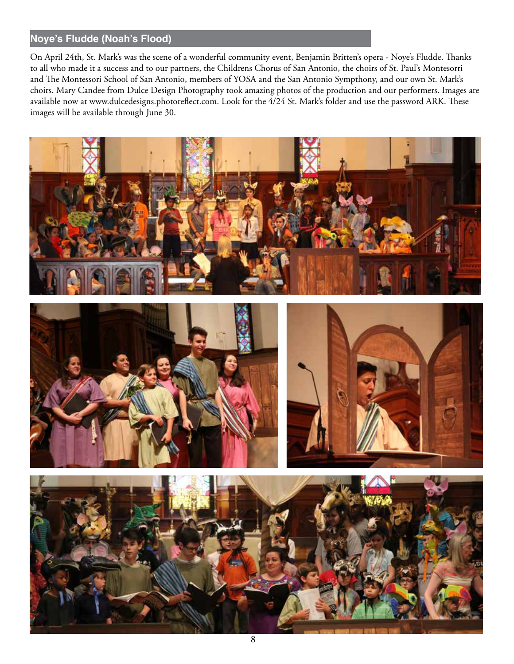# **Noye's Fludde (Noah's Flood)**

On April 24th, St. Mark's was the scene of a wonderful community event, Benjamin Britten's opera - Noye's Fludde. Thanks to all who made it a success and to our partners, the Childrens Chorus of San Antonio, the choirs of St. Paul's Montesorri and The Montessori School of San Antonio, members of YOSA and the San Antonio Sympthony, and our own St. Mark's choirs. Mary Candee from Dulce Design Photography took amazing photos of the production and our performers. Images are available now at www.dulcedesigns.photoreflect.com. Look for the 4/24 St. Mark's folder and use the password ARK. These images will be available through June 30.

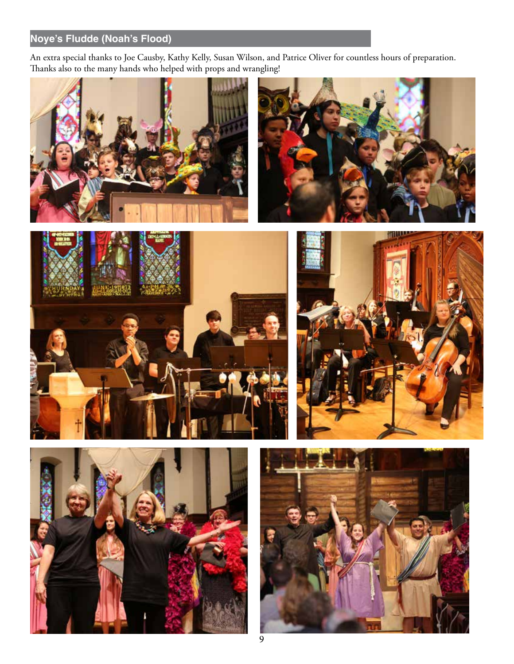# **Noye's Fludde (Noah's Flood)**

An extra special thanks to Joe Causby, Kathy Kelly, Susan Wilson, and Patrice Oliver for countless hours of preparation. Thanks also to the many hands who helped with props and wrangling!











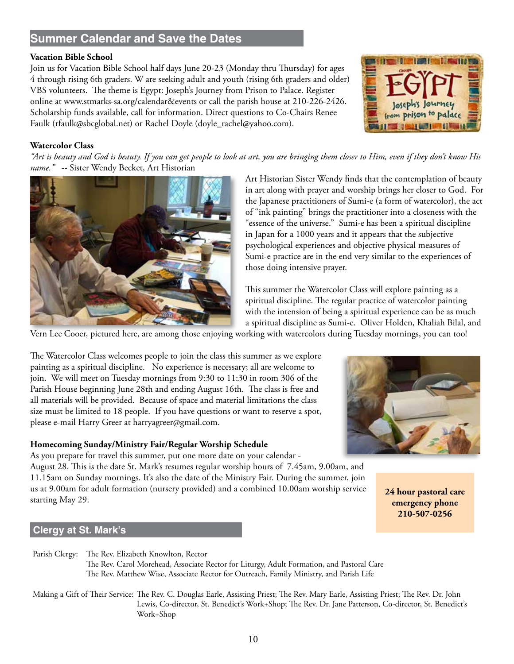# **Summer Calendar and Save the Dates**

# **Vacation Bible School**

Join us for Vacation Bible School half days June 20-23 (Monday thru Thursday) for ages 4 through rising 6th graders. W are seeking adult and youth (rising 6th graders and older) VBS volunteers. The theme is Egypt: Joseph's Journey from Prison to Palace. Register online at www.stmarks-sa.org/calendar&events or call the parish house at 210-226-2426. Scholarship funds available, call for information. Direct questions to Co-Chairs Renee Faulk (rfaulk@sbcglobal.net) or Rachel Doyle (doyle\_rachel@yahoo.com).



# **Watercolor Class**

*"Art is beauty and God is beauty. If you can get people to look at art, you are bringing them closer to Him, even if they don't know His name."* -- Sister Wendy Becket, Art Historian



Art Historian Sister Wendy finds that the contemplation of beauty in art along with prayer and worship brings her closer to God. For the Japanese practitioners of Sumi-e (a form of watercolor), the act of "ink painting" brings the practitioner into a closeness with the "essence of the universe." Sumi-e has been a spiritual discipline in Japan for a 1000 years and it appears that the subjective psychological experiences and objective physical measures of Sumi-e practice are in the end very similar to the experiences of those doing intensive prayer.

This summer the Watercolor Class will explore painting as a spiritual discipline. The regular practice of watercolor painting with the intension of being a spiritual experience can be as much a spiritual discipline as Sumi-e. Oliver Holden, Khaliah Bilal, and

Vern Lee Cooer, pictured here, are among those enjoying working with watercolors during Tuesday mornings, you can too!

The Watercolor Class welcomes people to join the class this summer as we explore painting as a spiritual discipline. No experience is necessary; all are welcome to join. We will meet on Tuesday mornings from 9:30 to 11:30 in room 306 of the Parish House beginning June 28th and ending August 16th. The class is free and all materials will be provided. Because of space and material limitations the class size must be limited to 18 people. If you have questions or want to reserve a spot, please e-mail Harry Greer at harryagreer@gmail.com.

### **Homecoming Sunday/Ministry Fair/Regular Worship Schedule**

As you prepare for travel this summer, put one more date on your calendar -

August 28. This is the date St. Mark's resumes regular worship hours of 7.45am, 9.00am, and 11.15am on Sunday mornings. It's also the date of the Ministry Fair. During the summer, join us at 9.00am for adult formation (nursery provided) and a combined 10.00am worship service starting May 29.

# **Clergy at St. Mark's**

Parish Clergy: The Rev. Elizabeth Knowlton, Rector The Rev. Carol Morehead, Associate Rector for Liturgy, Adult Formation, and Pastoral Care The Rev. Matthew Wise, Associate Rector for Outreach, Family Ministry, and Parish Life

Making a Gift of Their Service: The Rev. C. Douglas Earle, Assisting Priest; The Rev. Mary Earle, Assisting Priest; The Rev. Dr. John Lewis, Co-director, St. Benedict's Work+Shop; The Rev. Dr. Jane Patterson, Co-director, St. Benedict's Work+Shop



**24 hour pastoral care emergency phone 210-507-0256**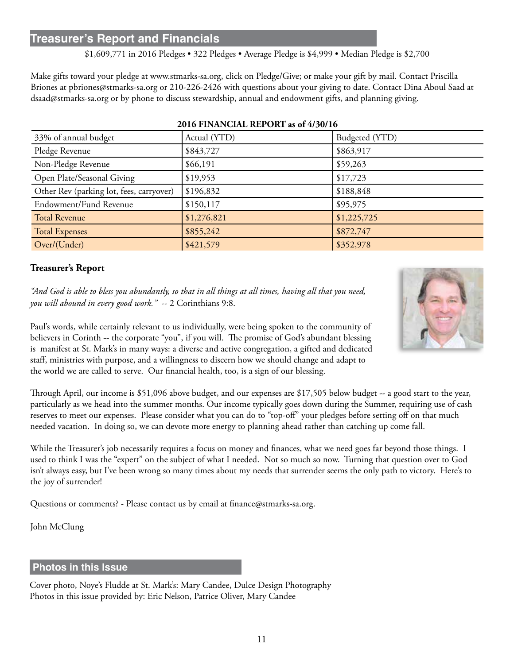# **Treasurer's Report and Financials**

\$1,609,771 in 2016 Pledges • 322 Pledges • Average Pledge is \$4,999 • Median Pledge is \$2,700

Make gifts toward your pledge at www.stmarks-sa.org, click on Pledge/Give; or make your gift by mail. Contact Priscilla Briones at pbriones@stmarks-sa.org or 210-226-2426 with questions about your giving to date. Contact Dina Aboul Saad at dsaad@stmarks-sa.org or by phone to discuss stewardship, annual and endowment gifts, and planning giving.

| 33% of annual budget                     | Actual (YTD) | Budgeted (YTD) |  |  |
|------------------------------------------|--------------|----------------|--|--|
| Pledge Revenue                           | \$843,727    | \$863,917      |  |  |
| Non-Pledge Revenue                       | \$66,191     | \$59,263       |  |  |
| Open Plate/Seasonal Giving               | \$19,953     | \$17,723       |  |  |
| Other Rev (parking lot, fees, carryover) | \$196,832    | \$188,848      |  |  |
| Endowment/Fund Revenue                   | \$150,117    | \$95,975       |  |  |
| <b>Total Revenue</b>                     | \$1,276,821  | \$1,225,725    |  |  |
| <b>Total Expenses</b>                    | \$855,242    | \$872,747      |  |  |
| Over/(Under)                             | \$421,579    | \$352,978      |  |  |

### **2016 FINANCIAL REPORT as of 4/30/16**

# **Treasurer's Report**

*"And God is able to bless you abundantly, so that in all things at all times, having all that you need, you will abound in every good work."* -- 2 Corinthians 9:8.

Paul's words, while certainly relevant to us individually, were being spoken to the community of believers in Corinth -- the corporate "you", if you will. The promise of God's abundant blessing is manifest at St. Mark's in many ways: a diverse and active congregation, a gifted and dedicated staff, ministries with purpose, and a willingness to discern how we should change and adapt to the world we are called to serve. Our financial health, too, is a sign of our blessing.

Through April, our income is \$51,096 above budget, and our expenses are \$17,505 below budget -- a good start to the year, particularly as we head into the summer months. Our income typically goes down during the Summer, requiring use of cash reserves to meet our expenses. Please consider what you can do to "top-off" your pledges before setting off on that much needed vacation. In doing so, we can devote more energy to planning ahead rather than catching up come fall.

While the Treasurer's job necessarily requires a focus on money and finances, what we need goes far beyond those things. I used to think I was the "expert" on the subject of what I needed. Not so much so now. Turning that question over to God isn't always easy, but I've been wrong so many times about my needs that surrender seems the only path to victory. Here's to the joy of surrender!

Questions or comments? - Please contact us by email at finance@stmarks-sa.org.

John McClung

# **Photos in this Issue**

Cover photo, Noye's Fludde at St. Mark's: Mary Candee, Dulce Design Photography Photos in this issue provided by: Eric Nelson, Patrice Oliver, Mary Candee